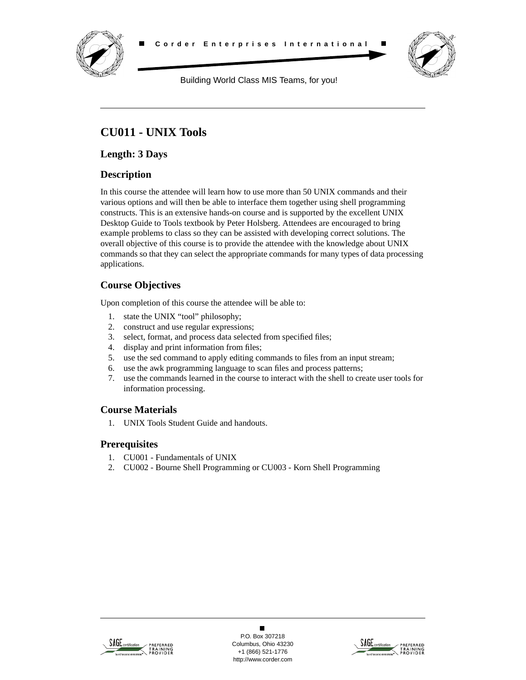



Building World Class MIS Teams, for you!

# **CU011 - UNIX Tools**

**Length: 3 Days**

## **Description**

In this course the attendee will learn how to use more than 50 UNIX commands and their various options and will then be able to interface them together using shell programming constructs. This is an extensive hands-on course and is supported by the excellent UNIX Desktop Guide to Tools textbook by Peter Holsberg. Attendees are encouraged to bring example problems to class so they can be assisted with developing correct solutions. The overall objective of this course is to provide the attendee with the knowledge about UNIX commands so that they can select the appropriate commands for many types of data processing applications.

## **Course Objectives**

Upon completion of this course the attendee will be able to:

- 1. state the UNIX "tool" philosophy;
- 2. construct and use regular expressions;
- 3. select, format, and process data selected from specified files;
- 4. display and print information from files;
- 5. use the sed command to apply editing commands to files from an input stream;
- 6. use the awk programming language to scan files and process patterns;
- 7. use the commands learned in the course to interact with the shell to create user tools for information processing.

## **Course Materials**

1. UNIX Tools Student Guide and handouts.

## **Prerequisites**

- 1. CU001 Fundamentals of UNIX
- 2. CU002 Bourne Shell Programming or CU003 Korn Shell Programming



 $\blacksquare$ P.O. Box 307218 Columbus, Ohio 43230 +1 (866) 521-1776 http://www.corder.com

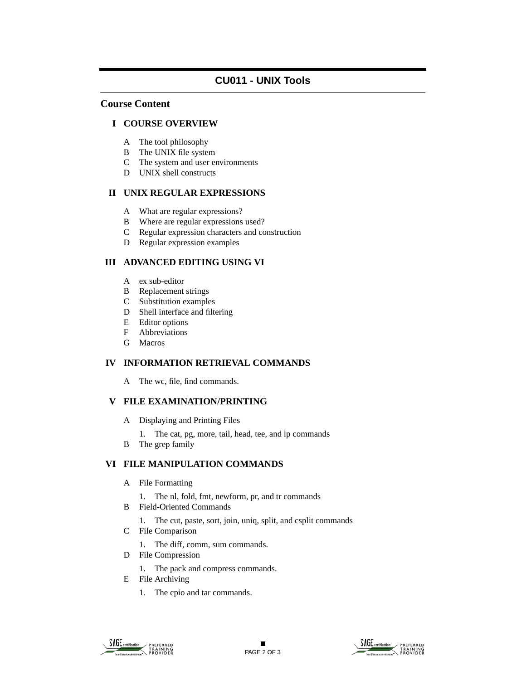### **Course Content**

#### **I COURSE OVERVIEW**

- A The tool philosophy
- B The UNIX file system
- C The system and user environments
- D UNIX shell constructs

#### **II UNIX REGULAR EXPRESSIONS**

- A What are regular expressions?
- B Where are regular expressions used?
- C Regular expression characters and construction
- D Regular expression examples

## **III ADVANCED EDITING USING VI**

- A ex sub-editor
- B Replacement strings
- C Substitution examples
- D Shell interface and filtering
- E Editor options
- F Abbreviations
- G Macros

#### **IV INFORMATION RETRIEVAL COMMANDS**

A The wc, file, find commands.

## **V FILE EXAMINATION/PRINTING**

- A Displaying and Printing Files
	- 1. The cat, pg, more, tail, head, tee, and lp commands
- B The grep family

#### **VI FILE MANIPULATION COMMANDS**

- A File Formatting
	- 1. The nl, fold, fmt, newform, pr, and tr commands
- B Field-Oriented Commands
	- 1. The cut, paste, sort, join, uniq, split, and csplit commands
- C File Comparison
	- 1. The diff, comm, sum commands.
- D File Compression
	- 1. The pack and compress commands.
- E File Archiving
	- 1. The cpio and tar commands.